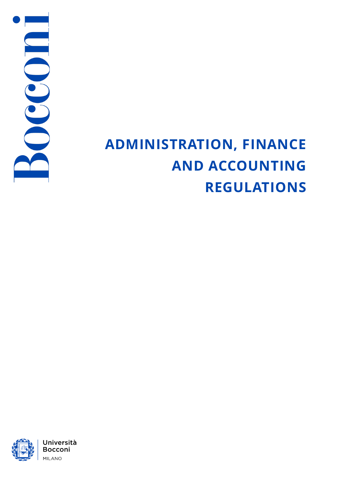

# **ADMINISTRATION, FINANCE AND ACCOUNTING REGULATIONS**

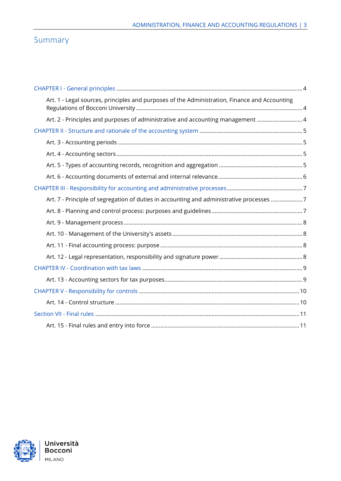### Summary

| Art. 1 - Legal sources, principles and purposes of the Administration, Finance and Accounting |  |
|-----------------------------------------------------------------------------------------------|--|
| Art. 2 - Principles and purposes of administrative and accounting management  4               |  |
|                                                                                               |  |
|                                                                                               |  |
|                                                                                               |  |
|                                                                                               |  |
|                                                                                               |  |
|                                                                                               |  |
| Art. 7 - Principle of segregation of duties in accounting and administrative processes 7      |  |
|                                                                                               |  |
|                                                                                               |  |
|                                                                                               |  |
|                                                                                               |  |
|                                                                                               |  |
|                                                                                               |  |
|                                                                                               |  |
|                                                                                               |  |
|                                                                                               |  |
|                                                                                               |  |
|                                                                                               |  |

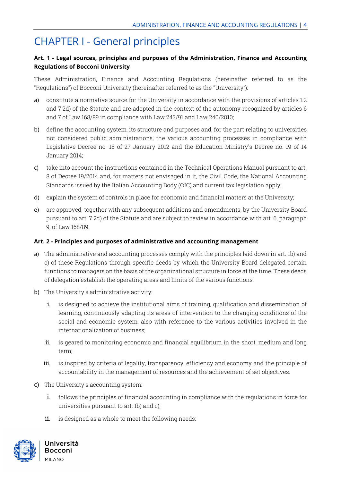### <span id="page-3-0"></span>CHAPTER I - General principles

#### <span id="page-3-1"></span> **Art. 1 - Legal sources, principles and purposes of the Administration, Finance and Accounting Regulations of Bocconi University**

These Administration, Finance and Accounting Regulations (hereinafter referred to as the "Regulations") of Bocconi University (hereinafter referred to as the "University"):

- a) constitute a normative source for the University in accordance with the provisions of articles 1.2 and 7.2d) of the Statute and are adopted in the context of the autonomy recognized by articles 6 and 7 of Law 168/89 in compliance with Law 243/91 and Law 240/2010;
- Legislative Decree no. 18 of 27 January 2012 and the Education Ministry's Decree no. 19 of 14 b) define the accounting system, its structure and purposes and, for the part relating to universities not considered public administrations, the various accounting processes in compliance with January 2014;
- 8 of Decree 19/2014 and, for matters not envisaged in it, the Civil Code, the National Accounting c) take into account the instructions contained in the Technical Operations Manual pursuant to art. Standards issued by the Italian Accounting Body (OIC) and current tax legislation apply;
- d) explain the system of controls in place for economic and financial matters at the University;
- e) are approved, together with any subsequent additions and amendments, by the University Board pursuant to art. 7.2d) of the Statute and are subject to review in accordance with art. 6, paragraph 9, of Law 168/89.

#### <span id="page-3-2"></span>**Art. 2 - Principles and purposes of administrative and accounting management**

- a) The administrative and accounting processes comply with the principles laid down in art. 1b) and c) of these Regulations through specific deeds by which the University Board delegated certain functions to managers on the basis of the organizational structure in force at the time. These deeds of delegation establish the operating areas and limits of the various functions.
- b) The University's administrative activity:
	- social and economic system, also with reference to the various activities involved in the i. is designed to achieve the institutional aims of training, qualification and dissemination of learning, continuously adapting its areas of intervention to the changing conditions of the internationalization of business;
	- ii. is geared to monitoring economic and financial equilibrium in the short, medium and long term;
	- iii. is inspired by criteria of legality, transparency, efficiency and economy and the principle of accountability in the management of resources and the achievement of set objectives.
- c) The University's accounting system:
	- i. follows the principles of financial accounting in compliance with the regulations in force for universities pursuant to art. 1b) and c);
	- ii. is designed as a whole to meet the following needs:

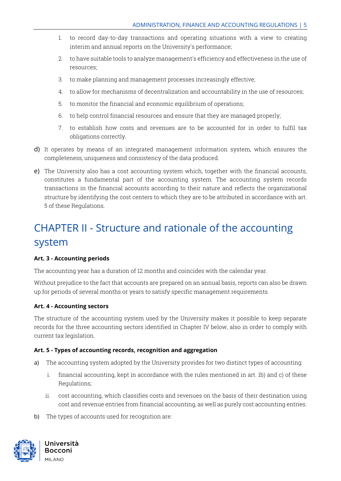- 1. to record day-to-day transactions and operating situations with a view to creating interim and annual reports on the University's performance;
- 2. to have suitable tools to analyze management's efficiency and effectiveness in the use of resources;
- 3. to make planning and management processes increasingly effective;
- 4. to allow for mechanisms of decentralization and accountability in the use of resources;
- 5. to monitor the financial and economic equilibrium of operations;
- 6. to help control financial resources and ensure that they are managed properly;
- 7. to establish how costs and revenues are to be accounted for in order to fulfil tax obligations correctly.
- d) It operates by means of an integrated management information system, which ensures the completeness, uniqueness and consistency of the data produced.
- constitutes a fundamental part of the accounting system. The accounting system records e) The University also has a cost accounting system which, together with the financial accounts, transactions in the financial accounts according to their nature and reflects the organizational structure by identifying the cost centers to which they are to be attributed in accordance with art. 5 of these Regulations.

### <span id="page-4-0"></span>CHAPTER II - Structure and rationale of the accounting system

#### <span id="page-4-1"></span>**Art. 3 - Accounting periods**

The accounting year has a duration of 12 months and coincides with the calendar year.

Without prejudice to the fact that accounts are prepared on an annual basis, reports can also be drawn up for periods of several months or years to satisfy specific management requirements.

#### <span id="page-4-2"></span>**Art. 4 - Accounting sectors**

The structure of the accounting system used by the University makes it possible to keep separate records for the three accounting sectors identified in Chapter IV below, also in order to comply with current tax legislation.

#### <span id="page-4-3"></span>**Art. 5 - Types of accounting records, recognition and aggregation**

- a) The accounting system adopted by the University provides for two distinct types of accounting:
	- i. financial accounting, kept in accordance with the rules mentioned in art. 1b) and c) of these Regulations;
	- ii. cost accounting, which classifies costs and revenues on the basis of their destination using cost and revenue entries from financial accounting, as well as purely cost accounting entries.
- b) The types of accounts used for recognition are:

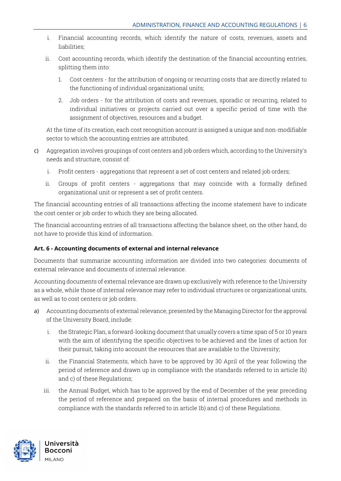- i. Financial accounting records, which identify the nature of costs, revenues, assets and liabilities;
- ii. Cost accounting records, which identify the destination of the financial accounting entries, splitting them into:
	- 1. Cost centers for the attribution of ongoing or recurring costs that are directly related to the functioning of individual organizational units;
	- 2. Job orders for the attribution of costs and revenues, sporadic or recurring, related to individual initiatives or projects carried out over a specific period of time with the assignment of objectives, resources and a budget.

At the time of its creation, each cost recognition account is assigned a unique and non-modifiable sector to which the accounting entries are attributed.

- c) Aggregation involves groupings of cost centers and job orders which, according to the University's needs and structure, consist of:
	- i. Profit centers aggregations that represent a set of cost centers and related job orders;
	- ii. Groups of profit centers aggregations that may coincide with a formally defined organizational unit or represent a set of profit centers.

 the cost center or job order to which they are being allocated. The financial accounting entries of all transactions affecting the income statement have to indicate

 The financial accounting entries of all transactions affecting the balance sheet, on the other hand, do not have to provide this kind of information.

#### <span id="page-5-0"></span>**Art. 6 - Accounting documents of external and internal relevance**

Documents that summarize accounting information are divided into two categories: documents of external relevance and documents of internal relevance.

 Accounting documents of external relevance are drawn up exclusively with reference to the University as a whole, while those of internal relevance may refer to individual structures or organizational units, as well as to cost centers or job orders.

- a) Accounting documents of external relevance, presented by the Managing Director for the approval of the University Board, include:
	- with the aim of identifying the specific objectives to be achieved and the lines of action for i. the Strategic Plan, a forward-looking document that usually covers a time span of 5 or 10 years their pursuit, taking into account the resources that are available to the University;
	- ii. the Financial Statements, which have to be approved by 30 April of the year following the period of reference and drawn up in compliance with the standards referred to in article 1b) and c) of these Regulations;
	- the period of reference and prepared on the basis of internal procedures and methods in iii. the Annual Budget, which has to be approved by the end of December of the year preceding compliance with the standards referred to in article 1b) and c) of these Regulations.

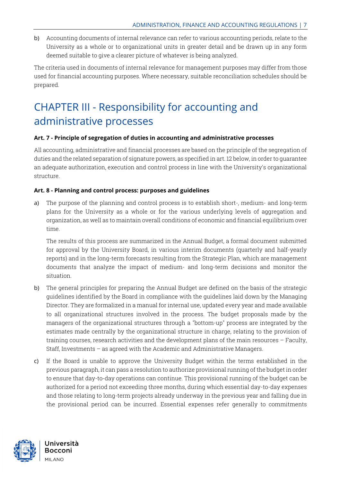University as a whole or to organizational units in greater detail and be drawn up in any form b) Accounting documents of internal relevance can refer to various accounting periods, relate to the deemed suitable to give a clearer picture of whatever is being analyzed.

The criteria used in documents of internal relevance for management purposes may differ from those used for financial accounting purposes. Where necessary, suitable reconciliation schedules should be prepared.

## <span id="page-6-0"></span> administrative processes CHAPTER III - Responsibility for accounting and

#### <span id="page-6-1"></span>**Art. 7 - Principle of segregation of duties in accounting and administrative processes**

 an adequate authorization, execution and control process in line with the University's organizational All accounting, administrative and financial processes are based on the principle of the segregation of duties and the related separation of signature powers, as specified in art. 12 below, in order to guarantee structure.

#### <span id="page-6-2"></span>**Art. 8 - Planning and control process: purposes and guidelines**

 plans for the University as a whole or for the various underlying levels of aggregation and a) The purpose of the planning and control process is to establish short-, medium- and long-term organization, as well as to maintain overall conditions of economic and financial equilibrium over time.

 for approval by the University Board, in various interim documents (quarterly and half-yearly The results of this process are summarized in the Annual Budget, a formal document submitted reports) and in the long-term forecasts resulting from the Strategic Plan, which are management documents that analyze the impact of medium- and long-term decisions and monitor the situation.

- training courses, research activities and the development plans of the main resources Faculty, b) The general principles for preparing the Annual Budget are defined on the basis of the strategic guidelines identified by the Board in compliance with the guidelines laid down by the Managing Director. They are formalized in a manual for internal use, updated every year and made available to all organizational structures involved in the process. The budget proposals made by the managers of the organizational structures through a "bottom-up" process are integrated by the estimates made centrally by the organizational structure in charge, relating to the provision of Staff, Investments – as agreed with the Academic and Administrative Managers.
- authorized for a period not exceeding three months, during which essential day-to-day expenses and those relating to long-term projects already underway in the previous year and falling due in c) If the Board is unable to approve the University Budget within the terms established in the previous paragraph, it can pass a resolution to authorize provisional running of the budget in order to ensure that day-to-day operations can continue. This provisional running of the budget can be the provisional period can be incurred. Essential expenses refer generally to commitments

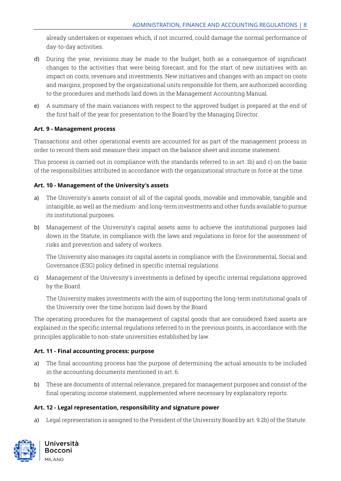already undertaken or expenses which, if not incurred, could damage the normal performance of day-to-day activities.

- to the procedures and methods laid down in the Management Accounting Manual. d) During the year, revisions may be made to the budget, both as a consequence of significant changes to the activities that were being forecast, and for the start of new initiatives with an impact on costs, revenues and investments. New initiatives and changes with an impact on costs and margins, proposed by the organizational units responsible for them, are authorized according
- e) A summary of the main variances with respect to the approved budget is prepared at the end of the first half of the year for presentation to the Board by the Managing Director.

#### <span id="page-7-0"></span>**Art. 9 - Management process**

Transactions and other operational events are accounted for as part of the management process in order to record them and measure their impact on the balance sheet and income statement.

This process is carried out in compliance with the standards referred to in art. 1b) and c) on the basis of the responsibilities attributed in accordance with the organizational structure in force at the time.

#### <span id="page-7-1"></span>**Art. 10 - Management of the University's assets**

- a) The University's assets consist of all of the capital goods, movable and immovable, tangible and intangible, as well as the medium- and long-term investments and other funds available to pursue its institutional purposes.
- b) Management of the University's capital assets aims to achieve the institutional purposes laid down in the Statute, in compliance with the laws and regulations in force for the assessment of risks and prevention and safety of workers.

The University also manages its capital assets in compliance with the Environmental, Social and Governance (ESG) policy defined in specific internal regulations.

c) Management of the University's investments is defined by specific internal regulations approved by the Board.

The University makes investments with the aim of supporting the long-term institutional goals of the University over the time horizon laid down by the Board.

 The operating procedures for the management of capital goods that are considered fixed assets are explained in the specific internal regulations referred to in the previous points, in accordance with the principles applicable to non-state universities established by law.

#### <span id="page-7-2"></span>**Art. 11 - Final accounting process: purpose**

- a) The final accounting process has the purpose of determining the actual amounts to be included in the accounting documents mentioned in art. 6.
- b) These are documents of internal relevance, prepared for management purposes and consist of the final operating income statement, supplemented where necessary by explanatory reports.

#### <span id="page-7-3"></span>**Art. 12 - Legal representation, responsibility and signature power**

a) Legal representation is assigned to the President of the University Board by art. 9.2b) of the Statute.



**Universita Bocconi**  MILANO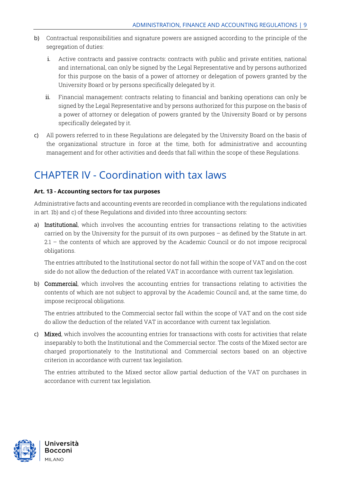- b) Contractual responsibilities and signature powers are assigned according to the principle of the segregation of duties:
	- i. Active contracts and passive contracts: contracts with public and private entities, national and international, can only be signed by the Legal Representative and by persons authorized for this purpose on the basis of a power of attorney or delegation of powers granted by the University Board or by persons specifically delegated by it.
	- ii. Financial management: contracts relating to financial and banking operations can only be signed by the Legal Representative and by persons authorized for this purpose on the basis of a power of attorney or delegation of powers granted by the University Board or by persons specifically delegated by it.
- c) All powers referred to in these Regulations are delegated by the University Board on the basis of the organizational structure in force at the time, both for administrative and accounting management and for other activities and deeds that fall within the scope of these Regulations.

### <span id="page-8-0"></span>CHAPTER IV - Coordination with tax laws

#### <span id="page-8-1"></span>**Art. 13 - Accounting sectors for tax purposes**

Administrative facts and accounting events are recorded in compliance with the regulations indicated in art. 1b) and c) of these Regulations and divided into three accounting sectors:

 2.1 – the contents of which are approved by the Academic Council or do not impose reciprocal a) Institutional, which involves the accounting entries for transactions relating to the activities carried on by the University for the pursuit of its own purposes – as defined by the Statute in art. obligations.

 The entries attributed to the Institutional sector do not fall within the scope of VAT and on the cost side do not allow the deduction of the related VAT in accordance with current tax legislation.

b) Commercial, which involves the accounting entries for transactions relating to activities the contents of which are not subject to approval by the Academic Council and, at the same time, do impose reciprocal obligations.

The entries attributed to the Commercial sector fall within the scope of VAT and on the cost side do allow the deduction of the related VAT in accordance with current tax legislation.

c) Mixed, which involves the accounting entries for transactions with costs for activities that relate inseparably to both the Institutional and the Commercial sector. The costs of the Mixed sector are charged proportionately to the Institutional and Commercial sectors based on an objective criterion in accordance with current tax legislation.

 The entries attributed to the Mixed sector allow partial deduction of the VAT on purchases in accordance with current tax legislation.

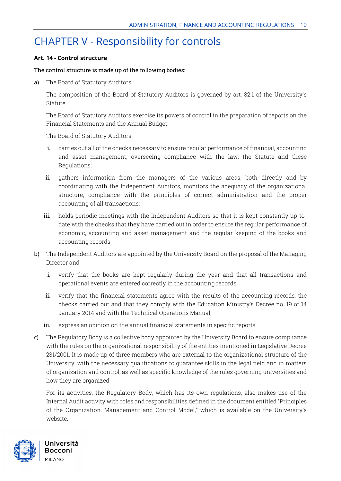### <span id="page-9-0"></span>CHAPTER V - Responsibility for controls

#### <span id="page-9-1"></span>**Art. 14 - Control structure**

#### The control structure is made up of the following bodies:

a) The Board of Statutory Auditors

The composition of the Board of Statutory Auditors is governed by art. 32.1 of the University's Statute.

The Board of Statutory Auditors exercise its powers of control in the preparation of reports on the Financial Statements and the Annual Budget.

The Board of Statutory Auditors:

- and asset management, overseeing compliance with the law, the Statute and these i. carries out all of the checks necessary to ensure regular performance of financial, accounting Regulations;
- ii. gathers information from the managers of the various areas, both directly and by coordinating with the Independent Auditors, monitors the adequacy of the organizational structure, compliance with the principles of correct administration and the proper accounting of all transactions;
- iii. holds periodic meetings with the Independent Auditors so that it is kept constantly up-todate with the checks that they have carried out in order to ensure the regular performance of economic, accounting and asset management and the regular keeping of the books and accounting records.
- Director and: b) The Independent Auditors are appointed by the University Board on the proposal of the Managing
	- i. verify that the books are kept regularly during the year and that all transactions and operational events are entered correctly in the accounting records;
	- ii. verify that the financial statements agree with the results of the accounting records, the January 2014 and with the Technical Operations Manual; checks carried out and that they comply with the Education Ministry's Decree no. 19 of 14
	- iii. express an opinion on the annual financial statements in specific reports.
- University, with the necessary qualifications to guarantee skills in the legal field and in matters c) The Regulatory Body is a collective body appointed by the University Board to ensure compliance with the rules on the organizational responsibility of the entities mentioned in Legislative Decree 231/2001. It is made up of three members who are external to the organizational structure of the of organization and control, as well as specific knowledge of the rules governing universities and how they are organized.

For its activities, the Regulatory Body, which has its own regulations, also makes use of the Internal Audit activity with roles and responsibilities defined in the document entitled "Principles of the Organization, Management and Control Model," which is available on the University's website.